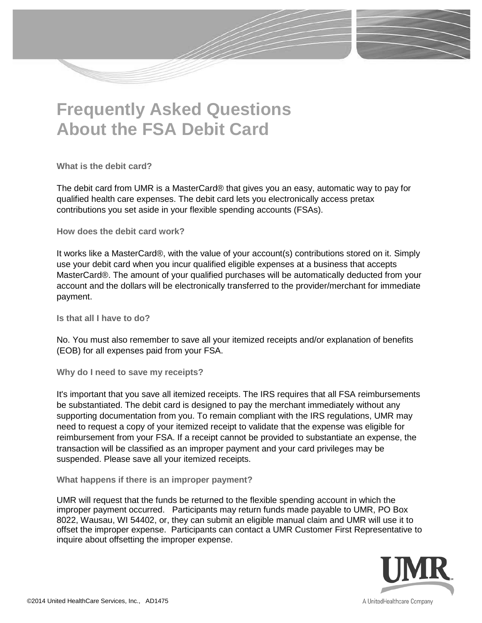## **Frequently Asked Questions About the FSA Debit Card**

**What is the debit card?** 

The debit card from UMR is a MasterCard® that gives you an easy, automatic way to pay for qualified health care expenses. The debit card lets you electronically access pretax contributions you set aside in your flexible spending accounts (FSAs).

**How does the debit card work?** 

It works like a MasterCard®, with the value of your account(s) contributions stored on it. Simply use your debit card when you incur qualified eligible expenses at a business that accepts MasterCard®. The amount of your qualified purchases will be automatically deducted from your account and the dollars will be electronically transferred to the provider/merchant for immediate payment.

**Is that all I have to do?** 

No. You must also remember to save all your itemized receipts and/or explanation of benefits (EOB) for all expenses paid from your FSA.

**Why do I need to save my receipts?** 

It's important that you save all itemized receipts. The IRS requires that all FSA reimbursements be substantiated. The debit card is designed to pay the merchant immediately without any supporting documentation from you. To remain compliant with the IRS regulations, UMR may need to request a copy of your itemized receipt to validate that the expense was eligible for reimbursement from your FSA. If a receipt cannot be provided to substantiate an expense, the transaction will be classified as an improper payment and your card privileges may be suspended. Please save all your itemized receipts.

**What happens if there is an improper payment?**

UMR will request that the funds be returned to the flexible spending account in which the improper payment occurred. Participants may return funds made payable to UMR, PO Box 8022, Wausau, WI 54402, or, they can submit an eligible manual claim and UMR will use it to offset the improper expense. Participants can contact a UMR Customer First Representative to inquire about offsetting the improper expense.

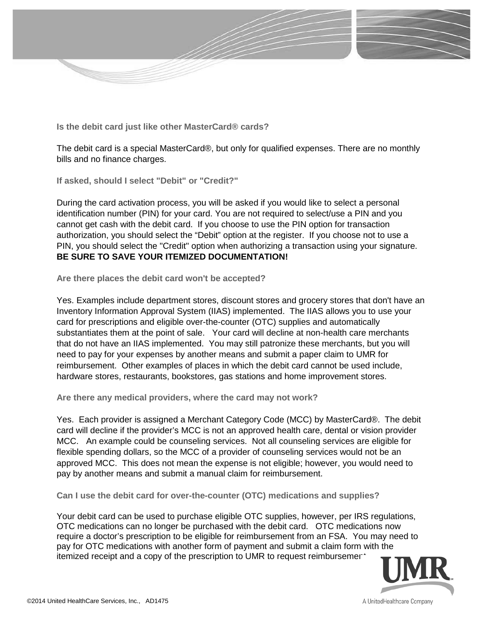

**Is the debit card just like other MasterCard® cards?** 

The debit card is a special MasterCard®, but only for qualified expenses. There are no monthly bills and no finance charges.

**If asked, should I select "Debit" or "Credit?"** 

During the card activation process, you will be asked if you would like to select a personal identification number (PIN) for your card. You are not required to select/use a PIN and you cannot get cash with the debit card. If you choose to use the PIN option for transaction authorization, you should select the "Debit" option at the register. If you choose not to use a PIN, you should select the "Credit" option when authorizing a transaction using your signature. **BE SURE TO SAVE YOUR ITEMIZED DOCUMENTATION!** 

**Are there places the debit card won't be accepted?** 

Yes. Examples include department stores, discount stores and grocery stores that don't have an Inventory Information Approval System (IIAS) implemented. The IIAS allows you to use your card for prescriptions and eligible over-the-counter (OTC) supplies and automatically substantiates them at the point of sale. Your card will decline at non-health care merchants that do not have an IIAS implemented. You may still patronize these merchants, but you will need to pay for your expenses by another means and submit a paper claim to UMR for reimbursement. Other examples of places in which the debit card cannot be used include, hardware stores, restaurants, bookstores, gas stations and home improvement stores.

**Are there any medical providers, where the card may not work?** 

Yes. Each provider is assigned a Merchant Category Code (MCC) by MasterCard®. The debit card will decline if the provider's MCC is not an approved health care, dental or vision provider MCC. An example could be counseling services. Not all counseling services are eligible for flexible spending dollars, so the MCC of a provider of counseling services would not be an approved MCC. This does not mean the expense is not eligible; however, you would need to pay by another means and submit a manual claim for reimbursement.

**Can I use the debit card for over-the-counter (OTC) medications and supplies?** 

Your debit card can be used to purchase eligible OTC supplies, however, per IRS regulations, OTC medications can no longer be purchased with the debit card. OTC medications now require a doctor's prescription to be eligible for reimbursement from an FSA. You may need to pay for OTC medications with another form of payment and submit a claim form with the itemized receipt and a copy of the prescription to UMR to request reimbursemer.

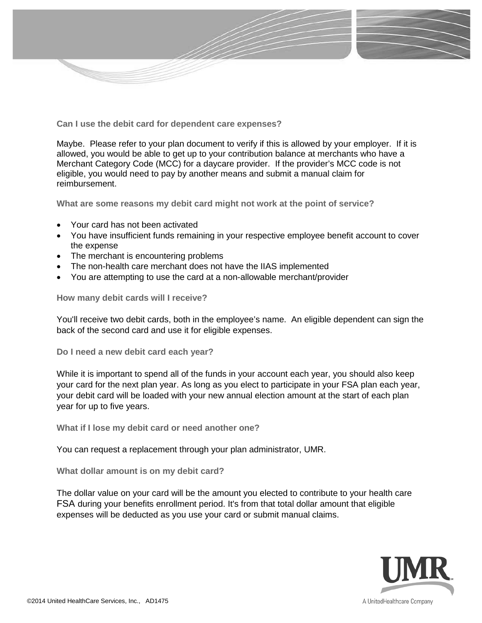

**Can I use the debit card for dependent care expenses?**

Maybe. Please refer to your plan document to verify if this is allowed by your employer. If it is allowed, you would be able to get up to your contribution balance at merchants who have a Merchant Category Code (MCC) for a daycare provider. If the provider's MCC code is not eligible, you would need to pay by another means and submit a manual claim for reimbursement.

**What are some reasons my debit card might not work at the point of service?** 

- Your card has not been activated
- You have insufficient funds remaining in your respective employee benefit account to cover the expense
- The merchant is encountering problems
- The non-health care merchant does not have the IIAS implemented
- You are attempting to use the card at a non-allowable merchant/provider

**How many debit cards will I receive?** 

You'll receive two debit cards, both in the employee's name. An eligible dependent can sign the back of the second card and use it for eligible expenses.

**Do I need a new debit card each year?** 

While it is important to spend all of the funds in your account each year, you should also keep your card for the next plan year. As long as you elect to participate in your FSA plan each year, your debit card will be loaded with your new annual election amount at the start of each plan year for up to five years.

**What if I lose my debit card or need another one?** 

You can request a replacement through your plan administrator, UMR.

**What dollar amount is on my debit card?** 

The dollar value on your card will be the amount you elected to contribute to your health care FSA during your benefits enrollment period. It's from that total dollar amount that eligible expenses will be deducted as you use your card or submit manual claims.